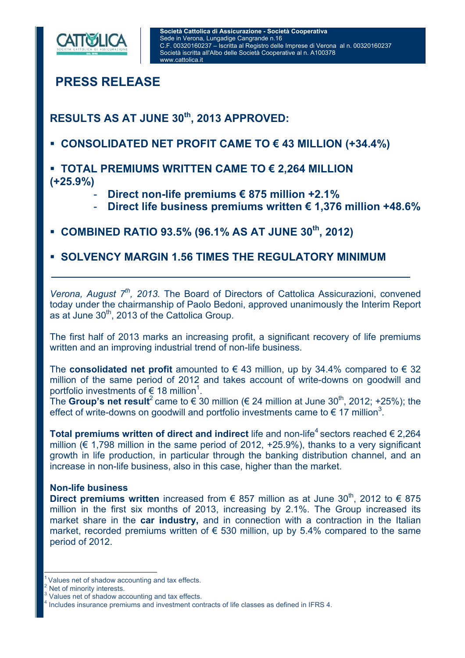

**PRESS RELEASE** 

**RESULTS AS AT JUNE 30th, 2013 APPROVED:** 

- **CONSOLIDATED NET PROFIT CAME TO € 43 MILLION (+34.4%)**
- **TOTAL PREMIUMS WRITTEN CAME TO € 2,264 MILLION (+25.9%)** 
	- **Direct non-life premiums € 875 million +2.1%**
	- **Direct life business premiums written € 1,376 million +48.6%**
- **COMBINED RATIO 93.5% (96.1% AS AT JUNE 30th, 2012)**
- **SOLVENCY MARGIN 1.56 TIMES THE REGULATORY MINIMUM**

*Verona, August 7<sup>th</sup>, 2013.* The Board of Directors of Cattolica Assicurazioni, convened today under the chairmanship of Paolo Bedoni, approved unanimously the Interim Report as at June 30<sup>th</sup>, 2013 of the Cattolica Group.

The first half of 2013 marks an increasing profit, a significant recovery of life premiums written and an improving industrial trend of non-life business.

The **consolidated net profit** amounted to  $\epsilon$  43 million, up by 34.4% compared to  $\epsilon$  32 million of the same period of 2012 and takes account of write-downs on goodwill and portfolio investments of  $\epsilon$  18 million<sup>1</sup>.

The **Group's net result**<sup>2</sup> came to  $\epsilon$  30 million ( $\epsilon$  24 million at June 30<sup>th</sup>, 2012; +25%); the effect of write-downs on goodwill and portfolio investments came to  $\epsilon$  17 million<sup>3</sup>.

**Total premiums written of direct and indirect** life and non-life<sup>4</sup> sectors reached € 2.264 million ( $\epsilon$  1.798 million in the same period of 2012, +25.9%), thanks to a very significant growth in life production, in particular through the banking distribution channel, and an increase in non-life business, also in this case, higher than the market.

# **Non-life business**

**Direct premiums written** increased from € 857 million as at June 30<sup>th</sup>. 2012 to € 875 million in the first six months of 2013, increasing by 2.1%. The Group increased its market share in the **car industry,** and in connection with a contraction in the Italian market, recorded premiums written of  $\epsilon$  530 million, up by 5.4% compared to the same period of 2012.

 $\overline{a}$ 

Values net of shadow accounting and tax effects.

Net of minority interests.<br>3 Values net of shadow accounting and tax effects.

Includes insurance premiums and investment contracts of life classes as defined in IFRS 4.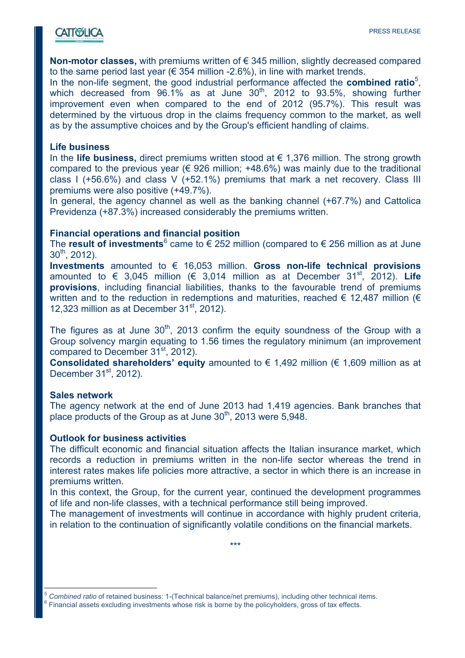**Non-motor classes,** with premiums written of € 345 million, slightly decreased compared to the same period last year ( $\epsilon$  354 million -2.6%), in line with market trends.

In the non-life segment, the good industrial performance affected the **combined ratio**<sup>5</sup>, which decreased from  $96.1\%$  as at June  $30<sup>th</sup>$ , 2012 to  $93.5\%$ , showing further improvement even when compared to the end of 2012 (95.7%). This result was determined by the virtuous drop in the claims frequency common to the market, as well as by the assumptive choices and by the Group's efficient handling of claims.

### **Life business**

In the **life business,** direct premiums written stood at € 1,376 million. The strong growth compared to the previous year ( $\epsilon$  926 million; +48.6%) was mainly due to the traditional class I (+56.6%) and class V (+52.1%) premiums that mark a net recovery. Class III premiums were also positive (+49.7%).

In general, the agency channel as well as the banking channel (+67.7%) and Cattolica Previdenza (+87.3%) increased considerably the premiums written.

### **Financial operations and financial position**

The **result of investments**<sup>6</sup> came to  $\epsilon$  252 million (compared to  $\epsilon$  256 million as at June  $30^{th}$ , 2012).

**Investments** amounted to € 16,053 million. **Gross non-life technical provisions** amounted to  $\in$  3,045 million ( $\in$  3,014 million as at December 31<sup>st</sup>, 2012). Life **provisions**, including financial liabilities, thanks to the favourable trend of premiums written and to the reduction in redemptions and maturities, reached  $\epsilon$  12.487 million ( $\epsilon$ 12,323 million as at December  $31<sup>st</sup>$ , 2012).

The figures as at June  $30<sup>th</sup>$ , 2013 confirm the equity soundness of the Group with a Group solvency margin equating to 1.56 times the regulatory minimum (an improvement compared to December 31<sup>st</sup>, 2012).

**Consolidated shareholders' equity** amounted to € 1,492 million (€ 1,609 million as at December  $31<sup>st</sup>$ , 2012).

#### **Sales network**

The agency network at the end of June 2013 had 1,419 agencies. Bank branches that place products of the Group as at June  $30<sup>th</sup>$ , 2013 were 5,948.

## **Outlook for business activities**

The difficult economic and financial situation affects the Italian insurance market, which records a reduction in premiums written in the non-life sector whereas the trend in interest rates makes life policies more attractive, a sector in which there is an increase in premiums written.

In this context, the Group, for the current year, continued the development programmes of life and non-life classes, with a technical performance still being improved.

The management of investments will continue in accordance with highly prudent criteria, in relation to the continuation of significantly volatile conditions on the financial markets.

\*\*\*

 $\overline{a}$ <sup>5</sup> *Combined ratio* of retained business: 1-(Technical balance/net premiums), including other technical items. 6 <sup>6</sup> Financial assets excluding investments whose risk is borne by the policyholders, gross of tax effects.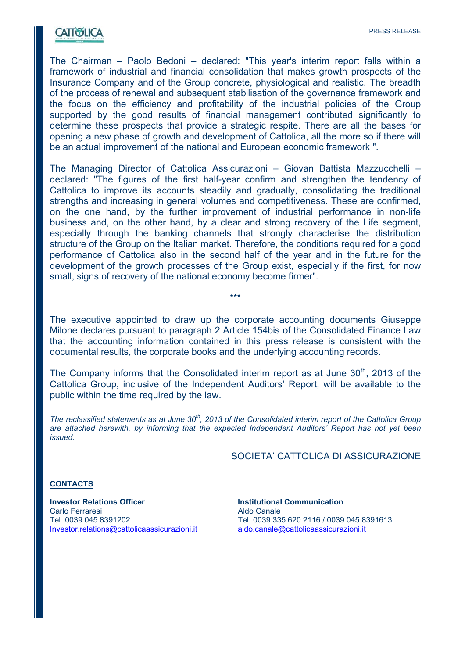# **CATTWELICA**

The Chairman – Paolo Bedoni – declared: "This year's interim report falls within a framework of industrial and financial consolidation that makes growth prospects of the Insurance Company and of the Group concrete, physiological and realistic. The breadth of the process of renewal and subsequent stabilisation of the governance framework and the focus on the efficiency and profitability of the industrial policies of the Group supported by the good results of financial management contributed significantly to determine these prospects that provide a strategic respite. There are all the bases for opening a new phase of growth and development of Cattolica, all the more so if there will be an actual improvement of the national and European economic framework ".

The Managing Director of Cattolica Assicurazioni – Giovan Battista Mazzucchelli – declared: "The figures of the first half-year confirm and strengthen the tendency of Cattolica to improve its accounts steadily and gradually, consolidating the traditional strengths and increasing in general volumes and competitiveness. These are confirmed, on the one hand, by the further improvement of industrial performance in non-life business and, on the other hand, by a clear and strong recovery of the Life segment, especially through the banking channels that strongly characterise the distribution structure of the Group on the Italian market. Therefore, the conditions required for a good performance of Cattolica also in the second half of the year and in the future for the development of the growth processes of the Group exist, especially if the first, for now small, signs of recovery of the national economy become firmer".

The executive appointed to draw up the corporate accounting documents Giuseppe Milone declares pursuant to paragraph 2 Article 154bis of the Consolidated Finance Law that the accounting information contained in this press release is consistent with the documental results, the corporate books and the underlying accounting records.

\*\*\*

The Company informs that the Consolidated interim report as at June  $30<sup>th</sup>$ , 2013 of the Cattolica Group, inclusive of the Independent Auditors' Report, will be available to the public within the time required by the law.

*The reclassified statements as at June 30<sup>th</sup>, 2013 of the Consolidated interim report of the Cattolica Group are attached herewith, by informing that the expected Independent Auditors' Report has not yet been issued.* 

#### SOCIETA' CATTOLICA DI ASSICURAZIONE

#### **CONTACTS**

**Investor Relations Officer Institutional Communication** Carlo Ferraresi **Aldo Canale** Investor.relations@cattolicaassicurazioni.it aldo.canale@cattolicaassicurazioni.it

Tel. 0039 045 8391202 Tel. 0039 335 620 2116 / 0039 045 8391613